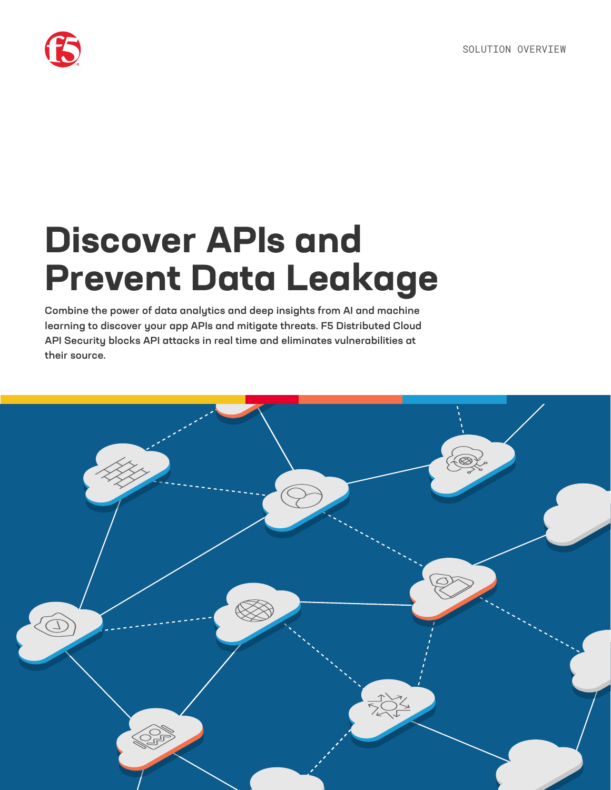

# **Discover APIs and Prevent Data Leakage**

Combine the power of data analytics and deep insights from AI and machine learning to discover your app APIs and mitigate threats. F5 Distributed Cloud API Security blocks API attacks in real time and eliminates vulnerabilities at their source.

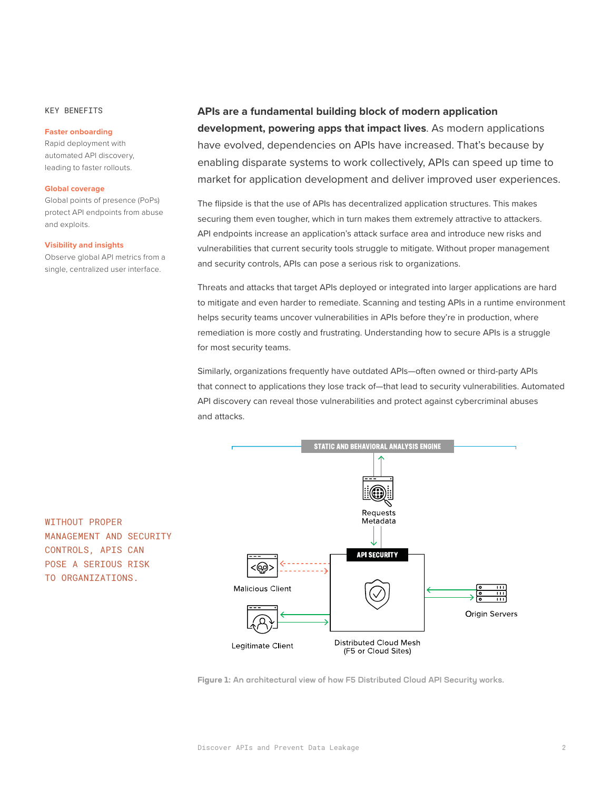#### KEY BENEFITS

#### **Faster onboarding**

Rapid deployment with automated API discovery, leading to faster rollouts.

#### **Global coverage**

Global points of presence (PoPs) protect API endpoints from abuse and exploits.

#### **Visibility and insights**

WITHOUT PROPER

MANAGEMENT AND SECURITY CONTROLS, APIS CAN POSE A SERIOUS RISK TO ORGANIZATIONS.

Observe global API metrics from a single, centralized user interface.

#### **APIs are a fundamental building block of modern application**

**development, powering apps that impact lives**. As modern applications have evolved, dependencies on APIs have increased. That's because by enabling disparate systems to work collectively, APIs can speed up time to market for application development and deliver improved user experiences.

The flipside is that the use of APIs has decentralized application structures. This makes securing them even tougher, which in turn makes them extremely attractive to attackers. API endpoints increase an application's attack surface area and introduce new risks and vulnerabilities that current security tools struggle to mitigate. Without proper management and security controls, APIs can pose a serious risk to organizations.

Threats and attacks that target APIs deployed or integrated into larger applications are hard to mitigate and even harder to remediate. Scanning and testing APIs in a runtime environment helps security teams uncover vulnerabilities in APIs before they're in production, where remediation is more costly and frustrating. Understanding how to secure APIs is a struggle for most security teams.

Similarly, organizations frequently have outdated APIs—often owned or third-party APIs that connect to applications they lose track of—that lead to security vulnerabilities. Automated API discovery can reveal those vulnerabilities and protect against cybercriminal abuses and attacks.



**Figure 1:** An architectural view of how F5 Distributed Cloud API Security works.